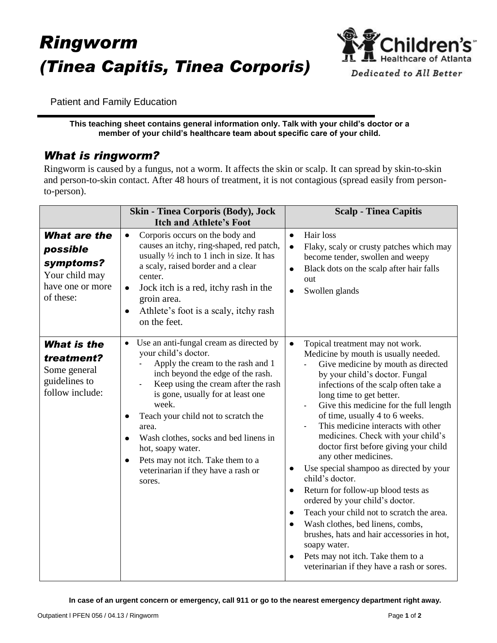# *Ringworm (Tinea Capitis, Tinea Corporis)*



Patient and Family Education

**This teaching sheet contains general information only. Talk with your child's doctor or a member of your child's healthcare team about specific care of your child.**

### *What is ringworm?*

Ringworm is caused by a fungus, not a worm. It affects the skin or scalp. It can spread by skin-to-skin and person-to-skin contact. After 48 hours of treatment, it is not contagious (spread easily from personto-person).

|                                                                                                 | <b>Skin - Tinea Corporis (Body), Jock</b><br><b>Itch and Athlete's Foot</b>                                                                                                                                                                                                                                                                                                                                                                                            | <b>Scalp - Tinea Capitis</b>                                                                                                                                                                                                                                                                                                                                                                                                                                                                                                                                                                                                                                                                                                                                                                                                                                                            |
|-------------------------------------------------------------------------------------------------|------------------------------------------------------------------------------------------------------------------------------------------------------------------------------------------------------------------------------------------------------------------------------------------------------------------------------------------------------------------------------------------------------------------------------------------------------------------------|-----------------------------------------------------------------------------------------------------------------------------------------------------------------------------------------------------------------------------------------------------------------------------------------------------------------------------------------------------------------------------------------------------------------------------------------------------------------------------------------------------------------------------------------------------------------------------------------------------------------------------------------------------------------------------------------------------------------------------------------------------------------------------------------------------------------------------------------------------------------------------------------|
| <b>What are the</b><br>possible<br>symptoms?<br>Your child may<br>have one or more<br>of these: | Corporis occurs on the body and<br>$\bullet$<br>causes an itchy, ring-shaped, red patch,<br>usually $\frac{1}{2}$ inch to 1 inch in size. It has<br>a scaly, raised border and a clear<br>center.<br>Jock itch is a red, itchy rash in the<br>$\bullet$<br>groin area.<br>Athlete's foot is a scaly, itchy rash<br>$\bullet$<br>on the feet.                                                                                                                           | Hair loss<br>$\bullet$<br>Flaky, scaly or crusty patches which may<br>$\bullet$<br>become tender, swollen and weepy<br>Black dots on the scalp after hair falls<br>$\bullet$<br>out<br>Swollen glands<br>$\bullet$                                                                                                                                                                                                                                                                                                                                                                                                                                                                                                                                                                                                                                                                      |
| <b>What is the</b><br>treatment?<br>Some general<br>guidelines to<br>follow include:            | Use an anti-fungal cream as directed by<br>$\bullet$<br>your child's doctor.<br>Apply the cream to the rash and 1<br>inch beyond the edge of the rash.<br>Keep using the cream after the rash<br>is gone, usually for at least one<br>week.<br>Teach your child not to scratch the<br>٠<br>area.<br>Wash clothes, socks and bed linens in<br>$\bullet$<br>hot, soapy water.<br>Pets may not itch. Take them to a<br>٠<br>veterinarian if they have a rash or<br>sores. | $\bullet$<br>Topical treatment may not work.<br>Medicine by mouth is usually needed.<br>Give medicine by mouth as directed<br>by your child's doctor. Fungal<br>infections of the scalp often take a<br>long time to get better.<br>Give this medicine for the full length<br>of time, usually 4 to 6 weeks.<br>This medicine interacts with other<br>medicines. Check with your child's<br>doctor first before giving your child<br>any other medicines.<br>Use special shampoo as directed by your<br>$\bullet$<br>child's doctor.<br>Return for follow-up blood tests as<br>$\bullet$<br>ordered by your child's doctor.<br>Teach your child not to scratch the area.<br>$\bullet$<br>Wash clothes, bed linens, combs,<br>$\bullet$<br>brushes, hats and hair accessories in hot,<br>soapy water.<br>Pets may not itch. Take them to a<br>veterinarian if they have a rash or sores. |

**In case of an urgent concern or emergency, call 911 or go to the nearest emergency department right away.**